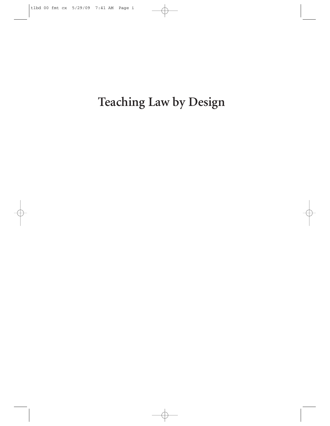**Teaching Law by Design**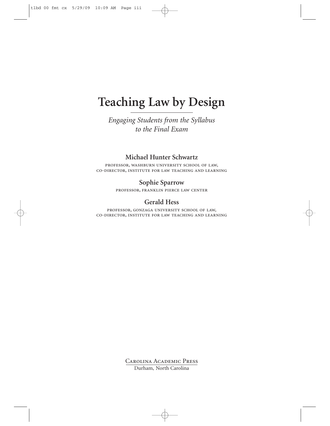# **Teaching Law by Design**

*Engaging Students from the Syllabus to the Final Exam*

### **Michael Hunter Schwartz**

professor, washburn university school of law, co-director, institute for law teaching and learning

### **Sophie Sparrow**

professor, franklin pierce law center

### **Gerald Hess**

professor, gonzaga university school of law, co-director, institute for law teaching and learning

> Carolina Academic Press Durham, North Carolina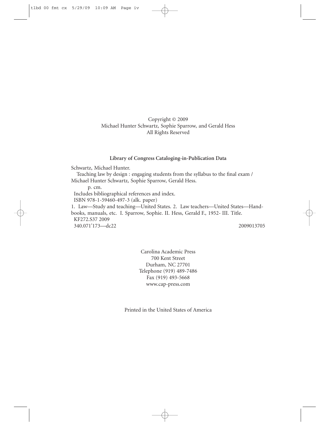### Copyright © 2009 Michael Hunter Schwartz, Sophie Sparrow, and Gerald Hess All Rights Reserved

#### **Library of Congress Cataloging-in-Publication Data**

Schwartz, Michael Hunter.

Teaching law by design : engaging students from the syllabus to the final exam / Michael Hunter Schwartz, Sophie Sparrow, Gerald Hess.

p. cm.

Includes bibliographical references and index.

ISBN 978-1-59460-497-3 (alk. paper)

1. Law—Study and teaching—United States. 2. Law teachers—United States—Handbooks, manuals, etc. I. Sparrow, Sophie. II. Hess, Gerald F., 1952- III. Title. KF272.S37 2009 340.071'173—dc22 2009013705

Carolina Academic Press 700 Kent Street Durham, NC 27701 Telephone (919) 489-7486 Fax (919) 493-5668 www.cap-press.com

Printed in the United States of America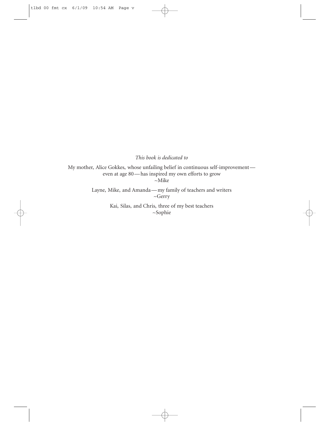*This book is dedicated to*

My mother, Alice Gokkes, whose unfailing belief in continuous self-improvement even at age 80 — has inspired my own efforts to grow ~Mike

> Layne, Mike, and Amanda — my family of teachers and writers ~Gerry

> > Kai, Silas, and Chris, three of my best teachers ~Sophie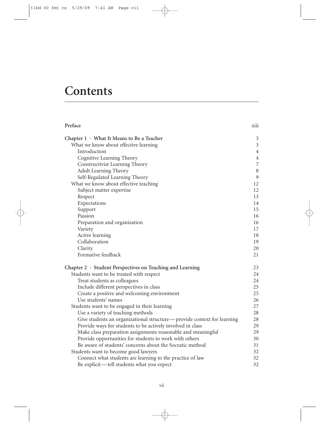# **Contents**

| Preface                                                                | <b>X111</b>    |
|------------------------------------------------------------------------|----------------|
| Chapter 1 · What It Means to Be a Teacher                              | $\mathfrak{Z}$ |
| What we know about effective learning                                  | $\mathfrak{Z}$ |
| Introduction                                                           | $\overline{4}$ |
| Cognitive Learning Theory                                              | $\overline{4}$ |
| Constructivist Learning Theory                                         | 7              |
| <b>Adult Learning Theory</b>                                           | $\,8\,$        |
| Self-Regulated Learning Theory                                         | $\mathfrak{g}$ |
| What we know about effective teaching                                  | 12             |
| Subject matter expertise                                               | 12             |
| Respect                                                                | 13             |
| Expectations                                                           | 14             |
| Support                                                                | 15             |
| Passion                                                                | 16             |
| Preparation and organization                                           | 16             |
| Variety                                                                | 17             |
| Active learning                                                        | 18             |
| Collaboration                                                          | 19             |
| Clarity                                                                | 20             |
| Formative feedback                                                     | 21             |
| Chapter 2 · Student Perspectives on Teaching and Learning              | 23             |
| Students want to be treated with respect                               | 24             |
| Treat students as colleagues                                           | 24             |
| Include different perspectives in class                                | 25             |
| Create a positive and welcoming environment                            | 25             |
| Use students' names                                                    | 26             |
| Students want to be engaged in their learning                          | 27             |
| Use a variety of teaching methods                                      | 28             |
| Give students an organizational structure-provide context for learning | 28             |
| Provide ways for students to be actively involved in class             | 29             |
| Make class preparation assignments reasonable and meaningful           | 29             |
| Provide opportunities for students to work with others                 | 30             |
| Be aware of students' concerns about the Socratic method               | 31             |
| Students want to become good lawyers                                   | 32             |
| Connect what students are learning to the practice of law              | 32             |
| Be explicit—tell students what you expect                              | 32             |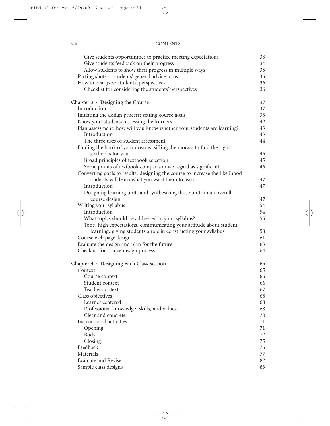#### viii CONTENTS

| Give students opportunities to practice meeting expectations                 | 33       |
|------------------------------------------------------------------------------|----------|
| Give students feedback on their progress                                     | 34       |
| Allow students to show their progress in multiple ways                       | 35       |
| Parting shots-students' general advice to us                                 | 35       |
| How to hear your students' perspectives.                                     | 36       |
| Checklist for considering the students' perspectives                         | 36       |
| Chapter $3 \cdot$ Designing the Course                                       | 37       |
| Introduction                                                                 | 37       |
| Initiating the design process: setting course goals                          | 38       |
| Know your students: assessing the learners                                   | 42       |
| Plan assessment: how will you know whether your students are learning?       | 43       |
| Introduction                                                                 | 43       |
| The three uses of student assessment                                         | 44       |
| Finding the book of your dreams: sifting the morass to find the right        |          |
| textbooks for you                                                            | 45       |
| Broad principles of textbook selection                                       | 45       |
| Some points of textbook comparison we regard as significant                  | 46       |
| Converting goals to results: designing the course to increase the likelihood |          |
| students will learn what you want them to learn                              | 47       |
| Introduction                                                                 | 47       |
| Designing learning units and synthesizing those units in an overall          |          |
| course design                                                                | 47       |
| Writing your syllabus<br>Introduction                                        | 54<br>54 |
| What topics should be addressed in your syllabus?                            | 55       |
| Tone, high expectations, communicating your attitude about student           |          |
| learning, giving students a role in constructing your syllabus               | 58       |
| Course web page design                                                       | 61       |
| Evaluate the design and plan for the future                                  | 63       |
| Checklist for course design process                                          | 64       |
|                                                                              |          |
| Chapter 4 · Designing Each Class Session                                     | 65       |
| Context                                                                      | 65       |
| Course context                                                               | 66       |
| Student context                                                              | 66       |
| Teacher context                                                              | 67       |
| Class objectives                                                             | 68       |
| Learner centered                                                             | 68       |
| Professional knowledge, skills, and values                                   | 68       |
| Clear and concrete<br>Instructional activities                               | 70       |
|                                                                              | 71       |
| Opening                                                                      | 71<br>72 |
| Body<br>Closing                                                              | 75       |
| Feedback                                                                     | 76       |
| Materials                                                                    | 77       |
| <b>Evaluate and Revise</b>                                                   | 82       |
| Sample class designs                                                         | 83       |
|                                                                              |          |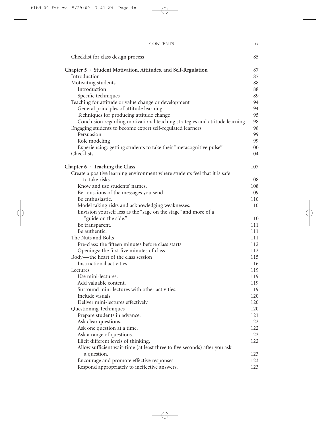| Checklist for class design process                                          | 85         |
|-----------------------------------------------------------------------------|------------|
| Chapter $5 \cdot$ Student Motivation, Attitudes, and Self-Regulation        | 87         |
| Introduction                                                                | 87         |
| Motivating students                                                         | 88         |
| Introduction                                                                | 88         |
| Specific techniques                                                         | 89         |
| Teaching for attitude or value change or development                        | 94         |
| General principles of attitude learning                                     | 94         |
| Techniques for producing attitude change                                    | 95         |
| Conclusion regarding motivational teaching strategies and attitude learning | 98         |
| Engaging students to become expert self-regulated learners                  | 98         |
| Persuasion                                                                  | 99         |
| Role modeling                                                               | 99         |
| Experiencing: getting students to take their "metacognitive pulse"          | 100        |
| Checklists                                                                  | 104        |
|                                                                             |            |
| Chapter $6 \cdot$ Teaching the Class                                        | 107        |
| Create a positive learning environment where students feel that it is safe  |            |
| to take risks.                                                              | 108        |
| Know and use students' names.                                               | 108        |
| Be conscious of the messages you send.                                      | 109        |
| Be enthusiastic.                                                            | 110        |
| Model taking risks and acknowledging weaknesses.                            | 110        |
| Envision yourself less as the "sage on the stage" and more of a             |            |
| "guide on the side."                                                        | 110        |
| Be transparent.                                                             | 111        |
| Be authentic.                                                               | 111        |
| The Nuts and Bolts                                                          | 111        |
| Pre-class: the fifteen minutes before class starts                          | 112        |
| Openings: the first five minutes of class                                   | 112        |
| Body—the heart of the class session                                         | 115        |
| Instructional activities                                                    | 116        |
| Lectures<br>Use mini-lectures.                                              | 119        |
|                                                                             | 119        |
| Add valuable content.<br>Surround mini-lectures with other activities.      | 119        |
| Include visuals.                                                            | 119<br>120 |
| Deliver mini-lectures effectively.                                          | 120        |
| Questioning Techniques                                                      | 120        |
| Prepare students in advance.                                                | 121        |
| Ask clear questions.                                                        | 122        |
| Ask one question at a time.                                                 | 122        |
| Ask a range of questions.                                                   | 122        |
| Elicit different levels of thinking.                                        | 122        |
| Allow sufficient wait-time (at least three to five seconds) after you ask   |            |
| a question.                                                                 | 123        |
| Encourage and promote effective responses.                                  | 123        |
| Respond appropriately to ineffective answers.                               | 123        |
|                                                                             |            |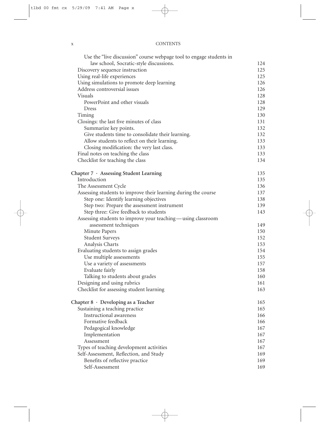| л | <b>CONTENTS</b> |
|---|-----------------|

| Use the "live discussion" course webpage tool to engage students in |     |
|---------------------------------------------------------------------|-----|
| law school, Socratic-style discussions.                             | 124 |
| Discovery sequence instruction                                      | 125 |
| Using real-life experiences                                         | 125 |
| Using simulations to promote deep learning                          | 126 |
| Address controversial issues                                        | 126 |
| Visuals                                                             | 128 |
| PowerPoint and other visuals                                        | 128 |
| Dress                                                               | 129 |
| Timing                                                              | 130 |
| Closings: the last five minutes of class                            | 131 |
| Summarize key points.                                               | 132 |
| Give students time to consolidate their learning.                   | 132 |
| Allow students to reflect on their learning.                        | 133 |
| Closing modification: the very last class.                          | 133 |
| Final notes on teaching the class                                   | 133 |
| Checklist for teaching the class                                    | 134 |
| Chapter 7 · Assessing Student Learning                              | 135 |
| Introduction                                                        | 135 |
| The Assessment Cycle                                                | 136 |
| Assessing students to improve their learning during the course      | 137 |
| Step one: Identify learning objectives                              | 138 |
| Step two: Prepare the assessment instrument                         | 139 |
| Step three: Give feedback to students                               | 143 |
| Assessing students to improve your teaching—using classroom         |     |
| assessment techniques                                               | 149 |
| Minute Papers                                                       | 150 |
| <b>Student Surveys</b>                                              | 152 |
| Analysis Charts                                                     | 153 |
| Evaluating students to assign grades                                | 154 |
| Use multiple assessments                                            | 155 |
| Use a variety of assessments                                        | 157 |
| Evaluate fairly                                                     | 158 |
| Talking to students about grades                                    | 160 |
| Designing and using rubrics                                         | 161 |
| Checklist for assessing student learning                            | 163 |
| Chapter $8 \cdot$ Developing as a Teacher                           | 165 |
| Sustaining a teaching practice                                      | 165 |
| Instructional awareness                                             | 166 |
| Formative feedback                                                  | 166 |
| Pedagogical knowledge                                               | 167 |
| Implementation                                                      | 167 |
| Assessment                                                          | 167 |
| Types of teaching development activities                            | 167 |
| Self-Assessment, Reflection, and Study                              | 169 |
| Benefits of reflective practice                                     | 169 |
| Self-Assessment                                                     | 169 |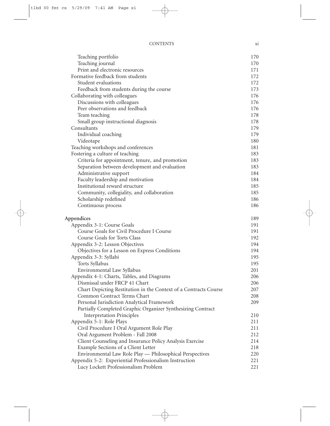#### CONTENTS xi

| Teaching portfolio                                               | 170 |
|------------------------------------------------------------------|-----|
| Teaching journal                                                 | 170 |
| Print and electronic resources                                   | 171 |
| Formative feedback from students                                 | 172 |
| Student evaluations                                              | 172 |
| Feedback from students during the course                         | 173 |
| Collaborating with colleagues                                    | 176 |
| Discussions with colleagues                                      | 176 |
| Peer observations and feedback                                   | 176 |
| Team teaching                                                    | 178 |
| Small group instructional diagnosis                              | 178 |
| Consultants                                                      | 179 |
| Individual coaching                                              | 179 |
| Videotape                                                        | 180 |
| Teaching workshops and conferences                               | 181 |
| Fostering a culture of teaching                                  | 183 |
| Criteria for appointment, tenure, and promotion                  | 183 |
| Separation between development and evaluation                    | 183 |
| Administrative support                                           | 184 |
| Faculty leadership and motivation                                | 184 |
| Institutional reward structure                                   | 185 |
| Community, collegiality, and collaboration                       | 185 |
| Scholarship redefined                                            | 186 |
| Continuous process                                               | 186 |
| Appendices                                                       | 189 |
| Appendix 3-1: Course Goals                                       | 191 |
| Course Goals for Civil Procedure I Course                        | 191 |
| Course Goals for Torts Class                                     | 192 |
| Appendix 3-2: Lesson Objectives                                  | 194 |
| Objectives for a Lesson on Express Conditions                    | 194 |
| Appendix 3-3: Syllabi                                            | 195 |
| Torts Syllabus                                                   | 195 |
| Environmental Law Syllabus                                       | 201 |
| Appendix 4-1: Charts, Tables, and Diagrams                       | 206 |
| Dismissal under FRCP 41 Chart                                    | 206 |
| Chart Depicting Restitution in the Context of a Contracts Course | 207 |
| Common Contract Terms Chart                                      | 208 |
| Personal Jurisdiction Analytical Framework                       | 209 |
| Partially Completed Graphic Organizer Synthesizing Contract      |     |
| <b>Interpretation Principles</b>                                 | 210 |
| Appendix 5-1: Role Plays                                         | 211 |
| Civil Procedure I Oral Argument Role Play                        | 211 |
| Oral Argument Problem - Fall 2008                                | 212 |
| Client Counseling and Insurance Policy Analysis Exercise         | 214 |
| Example Sections of a Client Letter                              | 218 |
| Environmental Law Role Play - Philosophical Perspectives         | 220 |
| Appendix 5-2: Experiential Professionalism Instruction           | 221 |
| Lucy Lockett Professionalism Problem                             | 221 |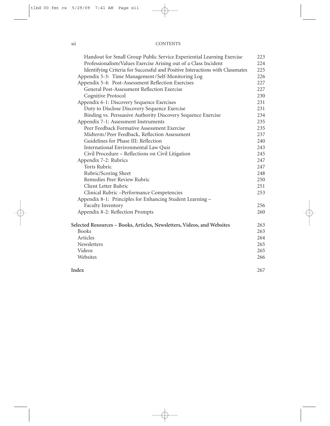| Handout for Small Group Public Service Experiential Learning Exercise         | 223 |
|-------------------------------------------------------------------------------|-----|
| Professionalism/Values Exercise Arising out of a Class Incident               | 224 |
| Identifying Criteria for Successful and Positive Interactions with Classmates | 225 |
| Appendix 5-3: Time Management/Self-Monitoring Log                             | 226 |
| Appendix 5-4: Post-Assessment Reflection Exercises                            | 227 |
| General Post-Assessment Reflection Exercise                                   | 227 |
| Cognitive Protocol                                                            | 230 |
| Appendix 6-1: Discovery Sequence Exercises                                    | 231 |
| Duty to Disclose Discovery Sequence Exercise                                  | 231 |
| Binding vs. Persuasive Authority Discovery Sequence Exercise                  | 234 |
| Appendix 7-1: Assessment Instruments                                          | 235 |
| Peer Feedback Formative Assessment Exercise                                   | 235 |
| Midterm/Peer Feedback, Reflection Assessment                                  | 237 |
| Guidelines for Phase III: Reflection                                          | 240 |
| International Environmental Law Quiz                                          | 243 |
| Civil Procedure – Reflections on Civil Litigation                             | 245 |
| Appendix 7-2: Rubrics                                                         | 247 |
| <b>Torts Rubric</b>                                                           | 247 |
| Rubric/Scoring Sheet                                                          | 248 |
| Remedies Peer Review Rubric                                                   | 250 |
| Client Letter Rubric                                                          | 251 |
| Clinical Rubric -Performance Competencies                                     | 253 |
| Appendix 8-1: Principles for Enhancing Student Learning -                     |     |
| Faculty Inventory                                                             | 256 |
| Appendix 8-2: Reflection Prompts                                              | 260 |
| Selected Resources – Books, Articles, Newsletters, Videos, and Websites       | 263 |
| <b>Books</b>                                                                  | 263 |
| Articles                                                                      | 264 |
| Newsletters                                                                   | 265 |
| Videos                                                                        | 265 |
| Websites                                                                      | 266 |
| Index                                                                         | 267 |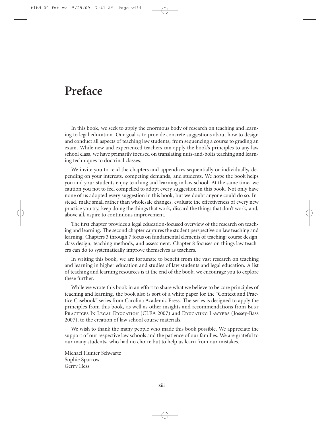## **Preface**

In this book, we seek to apply the enormous body of research on teaching and learning to legal education. Our goal is to provide concrete suggestions about how to design and conduct all aspects of teaching law students, from sequencing a course to grading an exam. While new and experienced teachers can apply the book's principles to any law school class, we have primarily focused on translating nuts-and-bolts teaching and learning techniques to doctrinal classes.

We invite you to read the chapters and appendices sequentially or individually, depending on your interests, competing demands, and students. We hope the book helps you and your students enjoy teaching and learning in law school. At the same time, we caution you not to feel compelled to adopt every suggestion in this book. Not only have none of us adopted every suggestion in this book, but we doubt anyone could do so. Instead, make small rather than wholesale changes, evaluate the effectiveness of every new practice you try, keep doing the things that work, discard the things that don't work, and, above all, aspire to continuous improvement.

The first chapter provides a legal education-focused overview of the research on teaching and learning. The second chapter captures the student perspective on law teaching and learning. Chapters 3 through 7 focus on fundamental elements of teaching: course design, class design, teaching methods, and assessment. Chapter 8 focuses on things law teachers can do to systematically improve themselves as teachers.

In writing this book, we are fortunate to benefit from the vast research on teaching and learning in higher education and studies of law students and legal education. A list of teaching and learning resources is at the end of the book; we encourage you to explore these further.

While we wrote this book in an effort to share what we believe to be core principles of teaching and learning, the book also is sort of a white paper for the "Context and Practice Casebook" series from Carolina Academic Press. The series is designed to apply the principles from this book, as well as other insights and recommendations from BEST PRACTICES IN LEGAL EDUCATION (CLEA 2007) and EDUCATING LAWYERS (JOSSEY-Bass 2007), to the creation of law school course materials.

We wish to thank the many people who made this book possible. We appreciate the support of our respective law schools and the patience of our families. We are grateful to our many students, who had no choice but to help us learn from our mistakes.

Michael Hunter Schwartz Sophie Sparrow Gerry Hess